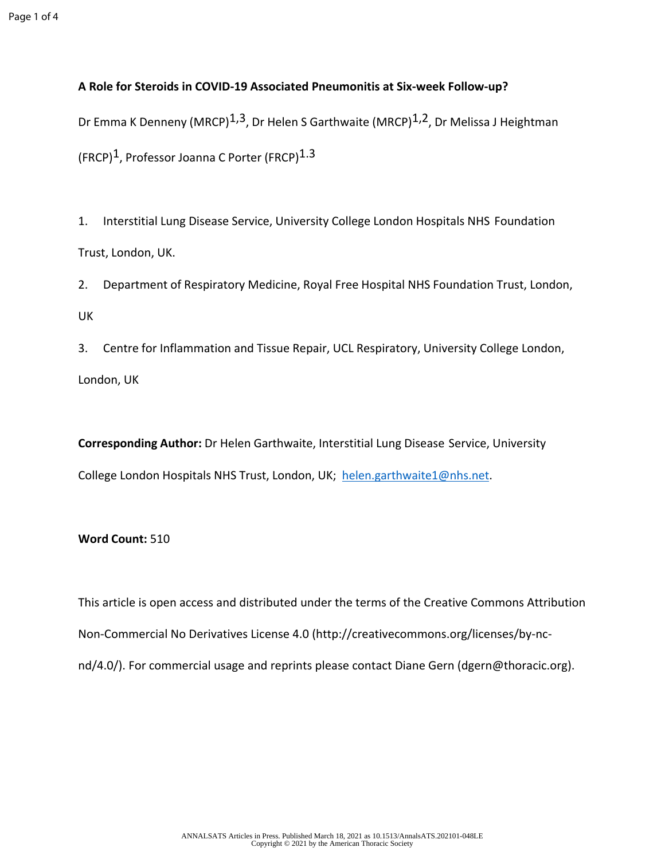## **A Role for Steroids in COVID-19 Associated Pneumonitis at Six-week Follow-up?**

Dr Emma K Denneny (MRCP)<sup>1,3</sup>, Dr Helen S Garthwaite (MRCP)<sup>1,2</sup>, Dr Melissa J Heightman (FRCP)<sup>1</sup>, Professor Joanna C Porter (FRCP)<sup>1.3</sup>

1. Interstitial Lung Disease Service, University College London Hospitals NHS Foundation Trust, London, UK.

2. Department of Respiratory Medicine, Royal Free Hospital NHS Foundation Trust, London, UK

3. Centre for Inflammation and Tissue Repair, UCL Respiratory, University College London, London, UK

**Corresponding Author:** Dr Helen Garthwaite, Interstitial Lung Disease Service, University College London Hospitals NHS Trust, London, UK; [helen.garthwaite1@nhs.net.](mailto:helen.garthwaite1@nhs.net)

## **Word Count:** 510

This article is open access and distributed under the terms of the Creative Commons Attribution Non-Commercial No Derivatives License 4.0 (http://creativecommons.org/licenses/by-ncnd/4.0/). For commercial usage and reprints please contact Diane Gern (dgern@thoracic.org).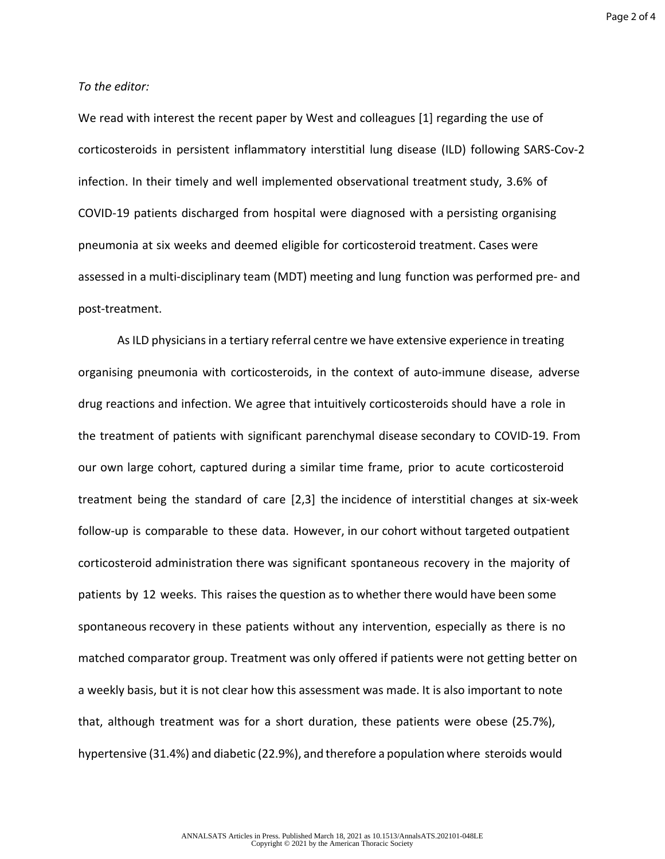Page 2 of 4

## *To the editor:*

We read with interest the recent paper by West and colleagues [1] regarding the use of corticosteroids in persistent inflammatory interstitial lung disease (ILD) following SARS-Cov-2 infection. In their timely and well implemented observational treatment study, 3.6% of COVID-19 patients discharged from hospital were diagnosed with a persisting organising pneumonia at six weeks and deemed eligible for corticosteroid treatment. Cases were assessed in a multi-disciplinary team (MDT) meeting and lung function was performed pre- and post-treatment.

As ILD physicians in a tertiary referral centre we have extensive experience in treating organising pneumonia with corticosteroids, in the context of auto-immune disease, adverse drug reactions and infection. We agree that intuitively corticosteroids should have a role in the treatment of patients with significant parenchymal disease secondary to COVID-19. From our own large cohort, captured during a similar time frame, prior to acute corticosteroid treatment being the standard of care [2,3] the incidence of interstitial changes at six-week follow-up is comparable to these data. However, in our cohort without targeted outpatient corticosteroid administration there was significant spontaneous recovery in the majority of patients by 12 weeks. This raises the question as to whether there would have been some spontaneous recovery in these patients without any intervention, especially as there is no matched comparator group. Treatment was only offered if patients were not getting better on a weekly basis, but it is not clear how this assessment was made. It is also important to note that, although treatment was for a short duration, these patients were obese (25.7%), hypertensive (31.4%) and diabetic (22.9%), and therefore a population where steroids would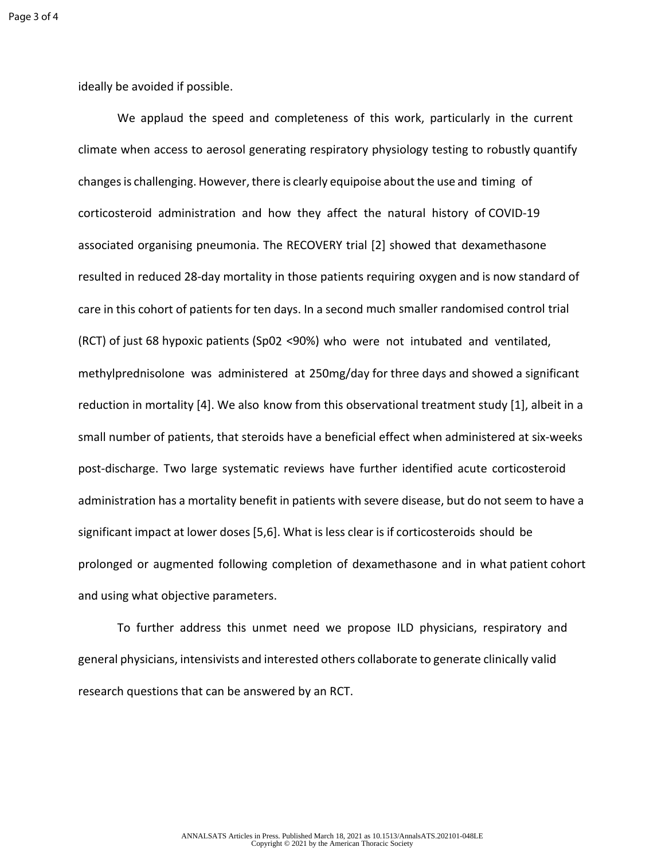ideally be avoided if possible.

We applaud the speed and completeness of this work, particularly in the current climate when access to aerosol generating respiratory physiology testing to robustly quantify changes is challenging. However, there is clearly equipoise about the use and timing of corticosteroid administration and how they affect the natural history of COVID-19 associated organising pneumonia. The RECOVERY trial [2] showed that dexamethasone resulted in reduced 28-day mortality in those patients requiring oxygen and is now standard of care in this cohort of patients for ten days. In a second much smaller randomised control trial (RCT) of just 68 hypoxic patients (Sp02 <90%) who were not intubated and ventilated, methylprednisolone was administered at 250mg/day for three days and showed a significant reduction in mortality [4]. We also know from this observational treatment study [1], albeit in a small number of patients, that steroids have a beneficial effect when administered at six-weeks post-discharge. Two large systematic reviews have further identified acute corticosteroid administration has a mortality benefit in patients with severe disease, but do not seem to have a significant impact at lower doses [5,6]. What is less clear is if corticosteroids should be prolonged or augmented following completion of dexamethasone and in what patient cohort and using what objective parameters.

To further address this unmet need we propose ILD physicians, respiratory and general physicians, intensivists and interested others collaborate to generate clinically valid research questions that can be answered by an RCT.